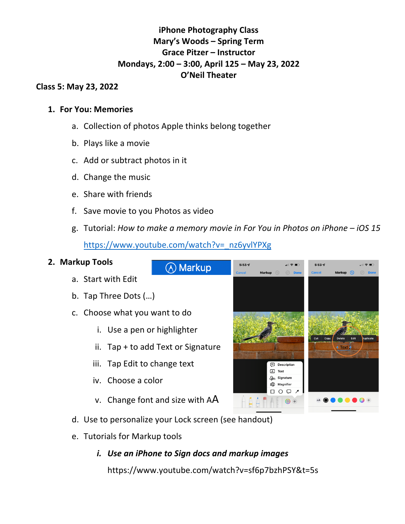# **iPhone Photography Class Mary's Woods – Spring Term Grace Pitzer – Instructor Mondays, 2:00 – 3:00, April 125 – May 23, 2022 O'Neil Theater**

### **Class 5: May 23, 2022**

## **1. For You: Memories**

- a. Collection of photos Apple thinks belong together
- b. Plays like a movie
- c. Add or subtract photos in it
- d. Change the music
- e. Share with friends
- f. Save movie to you Photos as video
- g. Tutorial: *How to make a memory movie in For You in Photos on iPhone – iOS 15* https://www.youtube.com/watch?v=\_nz6yvlYPXg

### **2. Markup Tools**

- a. Start with Edit
- b. Tap Three Dots (…)
- c. Choose what you want to do
	- i. Use a pen or highlighter
	- ii. Tap + to add Text or Signature
	- iii. Tap Edit to change text
	- iv. Choose a color
	- v. Change font and size with AA
- d. Use to personalize your Lock screen (see handout)
- e. Tutorials for Markup tools
	- *i. Use an iPhone to Sign docs and markup images*

**A** Markup

https://www.youtube.com/watch?v=sf6p7bzhPSY&t=5s